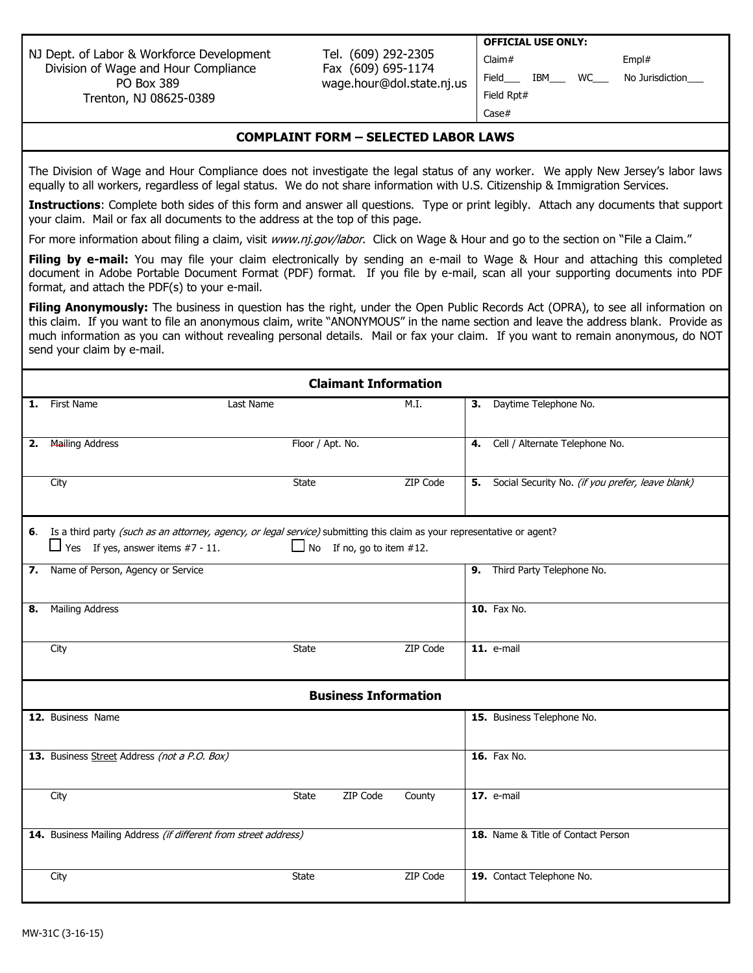NJ Dept. of Labor & Workforce Development Tel. (609) 292-2305 Division of Wage and Hour Compliance Fax (609) 695-1174 PO Box 389 wage.hour@dol.state.nj.us Trenton, NJ 08625-0389

**OFFICIAL USE ONLY:** 

Claim# Empl#

Field\_\_\_ IBM\_\_\_ WC\_\_\_ No Jurisdiction\_

Field Rpt# Case#

| COMPLAINT FORM - SELECTED LABOR LAWS |  |  |
|--------------------------------------|--|--|
|                                      |  |  |

The Division of Wage and Hour Compliance does not investigate the legal status of any worker. We apply New Jersey's labor laws equally to all workers, regardless of legal status. We do not share information with U.S. Citizenship & Immigration Services.

**Instructions**: Complete both sides of this form and answer all questions. Type or print legibly. Attach any documents that support your claim. Mail or fax all documents to the address at the top of this page.

For more information about filing a claim, visit [www.nj.gov/labor](http://www.nj.gov/labor). Click on Wage & Hour and go to the section on "File a Claim."

Filing by e-mail: You may file your claim electronically by sending an e-mail to Wage & Hour and attaching this completed document in Adobe Portable Document Format (PDF) format. If you file by e-mail, scan all your supporting documents into PDF format, and attach the PDF(s) to your e-mail.

**Filing Anonymously:** The business in question has the right, under the Open Public Records Act (OPRA), to see all information on this claim. If you want to file an anonymous claim, write "ANONYMOUS" in the name section and leave the address blank. Provide as much information as you can without revealing personal details. Mail or fax your claim. If you want to remain anonymous, do NOT send your claim by e-mail.

|    | <b>Claimant Information</b>                                                                                                                                                                                |                             |                 |                                                     |  |  |
|----|------------------------------------------------------------------------------------------------------------------------------------------------------------------------------------------------------------|-----------------------------|-----------------|-----------------------------------------------------|--|--|
| 1. | First Name                                                                                                                                                                                                 | Last Name                   | M.I.            | 3. Daytime Telephone No.                            |  |  |
| 2. | <b>Mailing Address</b>                                                                                                                                                                                     | Floor / Apt. No.            |                 | 4. Cell / Alternate Telephone No.                   |  |  |
|    | City                                                                                                                                                                                                       | State                       | ZIP Code        | 5. Social Security No. (if you prefer, leave blank) |  |  |
|    | 6. Is a third party (such as an attorney, agency, or legal service) submitting this claim as your representative or agent?<br>$\Box$ Yes If yes, answer items #7 - 11.<br>$\Box$ No If no, go to item #12. |                             |                 |                                                     |  |  |
| 7. | Name of Person, Agency or Service                                                                                                                                                                          |                             |                 | 9. Third Party Telephone No.                        |  |  |
| 8. | <b>Mailing Address</b>                                                                                                                                                                                     |                             |                 | <b>10.</b> Fax No.                                  |  |  |
|    | City                                                                                                                                                                                                       | State                       | <b>ZIP Code</b> | 11. e-mail                                          |  |  |
|    |                                                                                                                                                                                                            | <b>Business Information</b> |                 |                                                     |  |  |
|    | 12. Business Name                                                                                                                                                                                          |                             |                 | 15. Business Telephone No.                          |  |  |
|    | 13. Business Street Address (not a P.O. Box)                                                                                                                                                               |                             |                 | 16. Fax No.                                         |  |  |
|    | City                                                                                                                                                                                                       | ZIP Code<br><b>State</b>    | County          | <b>17.</b> e-mail                                   |  |  |
|    | 14. Business Mailing Address (if different from street address)                                                                                                                                            |                             |                 | 18. Name & Title of Contact Person                  |  |  |
|    | City                                                                                                                                                                                                       | <b>State</b>                | ZIP Code        | 19. Contact Telephone No.                           |  |  |